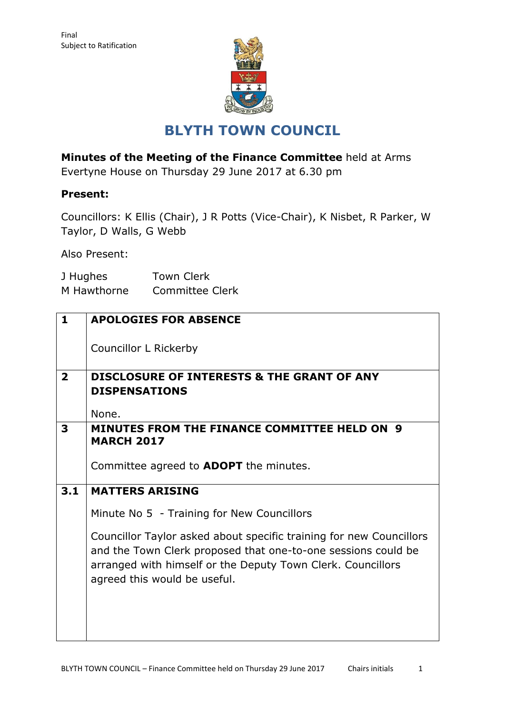

## **BLYTH TOWN COUNCIL**

**Minutes of the Meeting of the Finance Committee** held at Arms

Evertyne House on Thursday 29 June 2017 at 6.30 pm

### **Present:**

Councillors: K Ellis (Chair), J R Potts (Vice-Chair), K Nisbet, R Parker, W Taylor, D Walls, G Webb

Also Present:

| J Hughes    | <b>Town Clerk</b>      |
|-------------|------------------------|
| M Hawthorne | <b>Committee Clerk</b> |

| <b>DISCLOSURE OF INTERESTS &amp; THE GRANT OF ANY</b>               |  |  |  |  |
|---------------------------------------------------------------------|--|--|--|--|
| <b>DISPENSATIONS</b>                                                |  |  |  |  |
|                                                                     |  |  |  |  |
|                                                                     |  |  |  |  |
| MINUTES FROM THE FINANCE COMMITTEE HELD ON 9                        |  |  |  |  |
|                                                                     |  |  |  |  |
|                                                                     |  |  |  |  |
|                                                                     |  |  |  |  |
|                                                                     |  |  |  |  |
|                                                                     |  |  |  |  |
| 3.1<br><b>MATTERS ARISING</b>                                       |  |  |  |  |
|                                                                     |  |  |  |  |
| Minute No 5 - Training for New Councillors                          |  |  |  |  |
|                                                                     |  |  |  |  |
|                                                                     |  |  |  |  |
| Councillor Taylor asked about specific training for new Councillors |  |  |  |  |
| and the Town Clerk proposed that one-to-one sessions could be       |  |  |  |  |
|                                                                     |  |  |  |  |
| arranged with himself or the Deputy Town Clerk. Councillors         |  |  |  |  |
|                                                                     |  |  |  |  |
|                                                                     |  |  |  |  |
|                                                                     |  |  |  |  |
|                                                                     |  |  |  |  |
|                                                                     |  |  |  |  |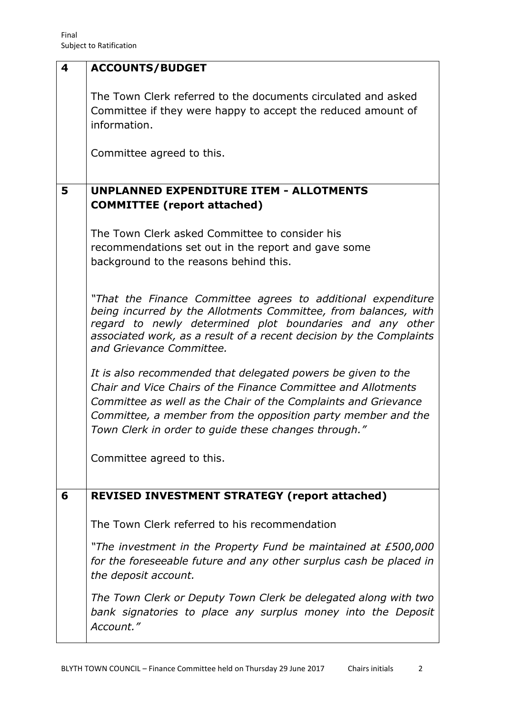| 4                                                                                                                                            | <b>ACCOUNTS/BUDGET</b>                                                                                                                                                                                                                                                                                                  |  |  |  |  |
|----------------------------------------------------------------------------------------------------------------------------------------------|-------------------------------------------------------------------------------------------------------------------------------------------------------------------------------------------------------------------------------------------------------------------------------------------------------------------------|--|--|--|--|
|                                                                                                                                              | The Town Clerk referred to the documents circulated and asked<br>Committee if they were happy to accept the reduced amount of<br>information.                                                                                                                                                                           |  |  |  |  |
|                                                                                                                                              | Committee agreed to this.                                                                                                                                                                                                                                                                                               |  |  |  |  |
| 5                                                                                                                                            | <b>UNPLANNED EXPENDITURE ITEM - ALLOTMENTS</b><br><b>COMMITTEE</b> (report attached)                                                                                                                                                                                                                                    |  |  |  |  |
|                                                                                                                                              | The Town Clerk asked Committee to consider his<br>recommendations set out in the report and gave some<br>background to the reasons behind this.                                                                                                                                                                         |  |  |  |  |
|                                                                                                                                              | "That the Finance Committee agrees to additional expenditure<br>being incurred by the Allotments Committee, from balances, with<br>regard to newly determined plot boundaries and any other<br>associated work, as a result of a recent decision by the Complaints<br>and Grievance Committee.                          |  |  |  |  |
|                                                                                                                                              | It is also recommended that delegated powers be given to the<br>Chair and Vice Chairs of the Finance Committee and Allotments<br>Committee as well as the Chair of the Complaints and Grievance<br>Committee, a member from the opposition party member and the<br>Town Clerk in order to guide these changes through." |  |  |  |  |
|                                                                                                                                              | Committee agreed to this.                                                                                                                                                                                                                                                                                               |  |  |  |  |
| 6                                                                                                                                            | <b>REVISED INVESTMENT STRATEGY (report attached)</b>                                                                                                                                                                                                                                                                    |  |  |  |  |
|                                                                                                                                              | The Town Clerk referred to his recommendation                                                                                                                                                                                                                                                                           |  |  |  |  |
|                                                                                                                                              | "The investment in the Property Fund be maintained at £500,000<br>for the foreseeable future and any other surplus cash be placed in<br>the deposit account.                                                                                                                                                            |  |  |  |  |
| The Town Clerk or Deputy Town Clerk be delegated along with two<br>bank signatories to place any surplus money into the Deposit<br>Account." |                                                                                                                                                                                                                                                                                                                         |  |  |  |  |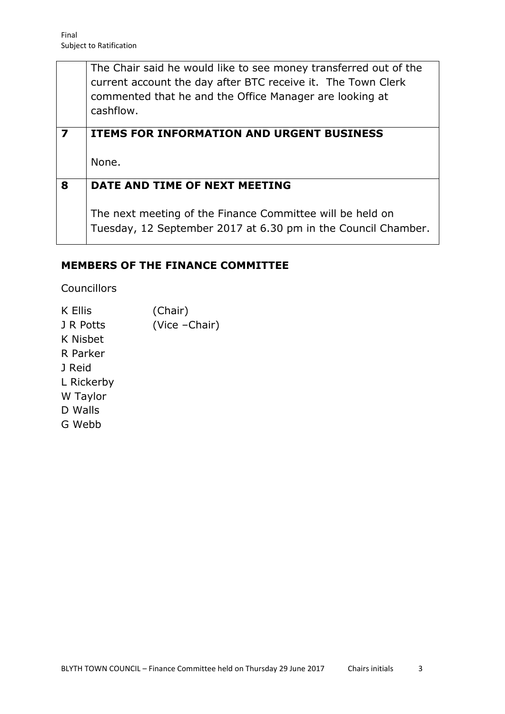| The Chair said he would like to see money transferred out of the |
|------------------------------------------------------------------|
| current account the day after BTC receive it. The Town Clerk     |
| commented that he and the Office Manager are looking at          |
| cashflow.                                                        |

# **7 ITEMS FOR INFORMATION AND URGENT BUSINESS** None. **8 DATE AND TIME OF NEXT MEETING**

The next meeting of the Finance Committee will be held on Tuesday, 12 September 2017 at 6.30 pm in the Council Chamber.

### **MEMBERS OF THE FINANCE COMMITTEE**

Councillors

K Ellis (Chair) J R Potts (Vice –Chair) K Nisbet R Parker J Reid L Rickerby W Taylor D Walls G Webb